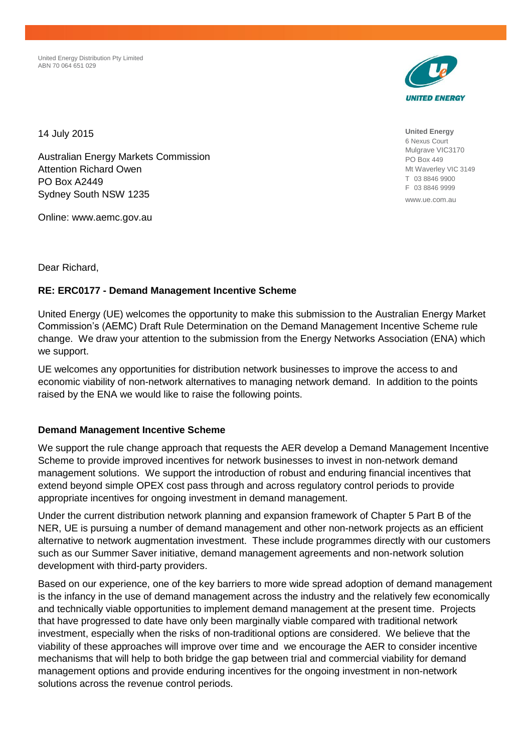United Energy Distribution Pty Limited ABN 70 064 651 029



**United Energy** 6 Nexus Court Mulgrave VIC3170 PO Box 449 Mt Waverley VIC 3149 T 03 8846 9900 F 03 8846 9999

www.ue.com.au

14 July 2015

Australian Energy Markets Commission Attention Richard Owen PO Box A2449 Sydney South NSW 1235

Online: www.aemc.gov.au

Dear Richard,

## **RE: ERC0177 - Demand Management Incentive Scheme**

United Energy (UE) welcomes the opportunity to make this submission to the Australian Energy Market Commission's (AEMC) Draft Rule Determination on the Demand Management Incentive Scheme rule change. We draw your attention to the submission from the Energy Networks Association (ENA) which we support.

UE welcomes any opportunities for distribution network businesses to improve the access to and economic viability of non-network alternatives to managing network demand. In addition to the points raised by the ENA we would like to raise the following points.

## **Demand Management Incentive Scheme**

We support the rule change approach that requests the AER develop a Demand Management Incentive Scheme to provide improved incentives for network businesses to invest in non-network demand management solutions. We support the introduction of robust and enduring financial incentives that extend beyond simple OPEX cost pass through and across regulatory control periods to provide appropriate incentives for ongoing investment in demand management.

Under the current distribution network planning and expansion framework of Chapter 5 Part B of the NER, UE is pursuing a number of demand management and other non-network projects as an efficient alternative to network augmentation investment. These include programmes directly with our customers such as our Summer Saver initiative, demand management agreements and non-network solution development with third-party providers.

Based on our experience, one of the key barriers to more wide spread adoption of demand management is the infancy in the use of demand management across the industry and the relatively few economically and technically viable opportunities to implement demand management at the present time. Projects that have progressed to date have only been marginally viable compared with traditional network investment, especially when the risks of non-traditional options are considered. We believe that the viability of these approaches will improve over time and we encourage the AER to consider incentive mechanisms that will help to both bridge the gap between trial and commercial viability for demand management options and provide enduring incentives for the ongoing investment in non-network solutions across the revenue control periods.